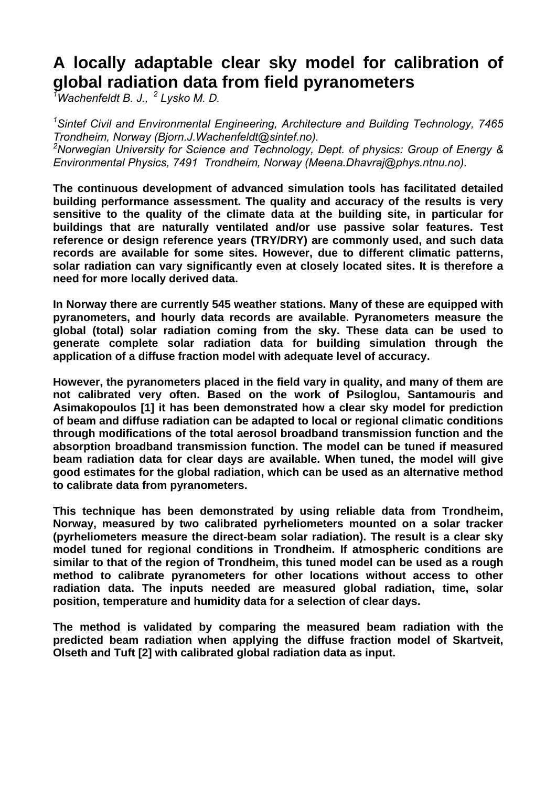# **A locally adaptable clear sky model for calibration of global radiation data from field pyranometers**

*1 Wachenfeldt B. J., 2 Lysko M. D.* 

<sup>1</sup> Sintef Civil and Environmental Engineering, Architecture and Building Technology, 7465 *Trondheim, Norway (Bjorn.J.Wachenfeldt@sintef.no). 2 Norwegian University for Science and Technology, Dept. of physics: Group of Energy & Environmental Physics, 7491 Trondheim, Norway (Meena.Dhavraj@phys.ntnu.no).* 

**The continuous development of advanced simulation tools has facilitated detailed building performance assessment. The quality and accuracy of the results is very sensitive to the quality of the climate data at the building site, in particular for buildings that are naturally ventilated and/or use passive solar features. Test reference or design reference years (TRY/DRY) are commonly used, and such data records are available for some sites. However, due to different climatic patterns, solar radiation can vary significantly even at closely located sites. It is therefore a need for more locally derived data.** 

**In Norway there are currently 545 weather stations. Many of these are equipped with pyranometers, and hourly data records are available. Pyranometers measure the global (total) solar radiation coming from the sky. These data can be used to generate complete solar radiation data for building simulation through the application of a diffuse fraction model with adequate level of accuracy.** 

<span id="page-0-0"></span>**However, the pyranometers placed in the field vary in quality, and many of them are not calibrated very often. Based on the work of Psiloglou, Santamouris and Asimakopoulos [[1\]](#page-10-0) it has been demonstrated how a clear sky model for prediction of beam and diffuse radiation can be adapted to local or regional climatic conditions through modifications of the total aerosol broadband transmission function and the absorption broadband transmission function. The model can be tuned if measured beam radiation data for clear days are available. When tuned, the model will give good estimates for the global radiation, which can be used as an alternative method to calibrate data from pyranometers.** 

**This technique has been demonstrated by using reliable data from Trondheim, Norway, measured by two calibrated pyrheliometers mounted on a solar tracker (pyrheliometers measure the direct-beam solar radiation). The result is a clear sky model tuned for regional conditions in Trondheim. If atmospheric conditions are similar to that of the region of Trondheim, this tuned model can be used as a rough method to calibrate pyranometers for other locations without access to other radiation data. The inputs needed are measured global radiation, time, solar position, temperature and humidity data for a selection of clear days.** 

<span id="page-0-2"></span><span id="page-0-1"></span>**The method is validated by comparing the measured beam radiation with the predicted beam radiation when applying the diffuse fraction model of Skartveit, Olseth and Tuft [\[2\]](#page-10-1) with calibrated global radiation data as input.**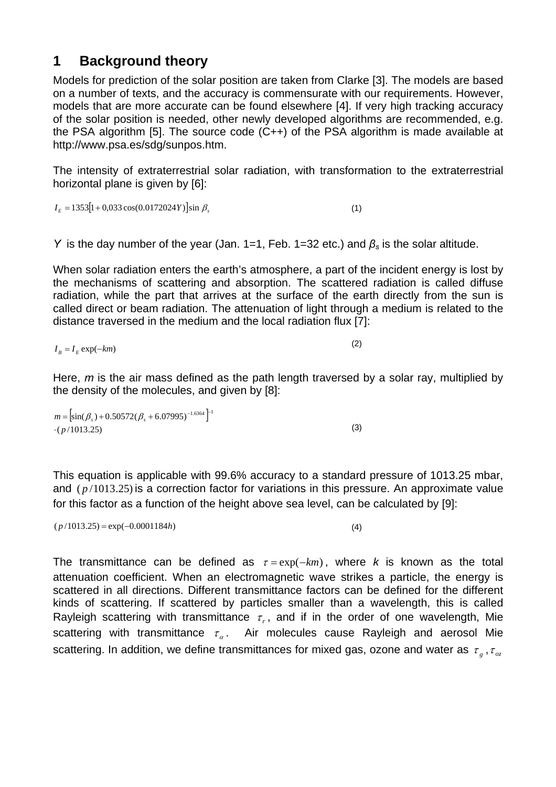### **1 Background theory**

Models for prediction of the solar position are taken from Clarke [[3\]](#page-10-2). The models are based on a number of texts, and the accuracy is commensurate with our requirements. However, models that are more accurate can be found elsewhere [[4\]](#page-10-3). If very high tracking accuracy of the solar position is needed, other newly developed algorithms are recommended, e.g. the PSA algorithm [[5\]](#page-10-4). The source code (C++) of the PSA algorithm is made available at http://www.psa.es/sdg/sunpos.htm.

The intensity of extraterrestrial solar radiation, with transformation to the extraterrestrial horizontal plane is given by [[6\]](#page-10-5):

 $I<sub>E</sub> = 1353[1 + 0.033 \cos(0.0172024Y)]\sin \beta_s$  (1)

*Y* is the day number of the year (Jan. 1=1, Feb. 1=32 etc.) and *βs* is the solar altitude.

When solar radiation enters the earth's atmosphere, a part of the incident energy is lost by the mechanisms of scattering and absorption. The scattered radiation is called diffuse radiation, while the part that arrives at the surface of the earth directly from the sun is called direct or beam radiation. The attenuation of light through a medium is related to the distance traversed in the medium and the local radiation flux [[7\]](#page-10-6):

$$
I_B = I_E \exp(-km) \tag{2}
$$

Here, *m* is the air mass defined as the path length traversed by a solar ray, multiplied by the density of the molecules, and given by [[8\]](#page-10-7):

 $m = \left[ \sin(\beta_s) + 0.50572(\beta_s + 6.07995)^{-1.6364} \right]^{-1}$  $\cdot$ ( $p/1013.25$ )

This equation is applicable with 99.6% accuracy to a standard pressure of 1013.25 mbar, and  $(p/1013.25)$  is a correction factor for variations in this pressure. An approx[im](#page-10-8)ate value for this factor as a function of the height above sea level, can be calculated by [ 9]:

 $(p/1013.25) = \exp(-0.0001184h)$  (4)

<span id="page-1-2"></span><span id="page-1-1"></span><span id="page-1-0"></span>(3)

The transmittance can be defined as  $\tau = \exp(-km)$ , where *k* is known as the total attenuation coefficient. When an electromagnetic wave strikes a particle, the energy is scattered in all directions. Different transmittance factors can be defined for the different kinds of scattering. If scattered by particles smaller than a wavelength, this is called Rayleigh scattering with transmittance  $\tau_r$ , and if in the order of one wavelength, Mie scattering with transmittance  $\tau_{\alpha}$ . Air molecules cause Rayleigh and aerosol Mie scattering. In addition, we define transmittances for mixed gas, ozone and water as *τ<sub>.</sub>*, *τ*<sub>oz</sub>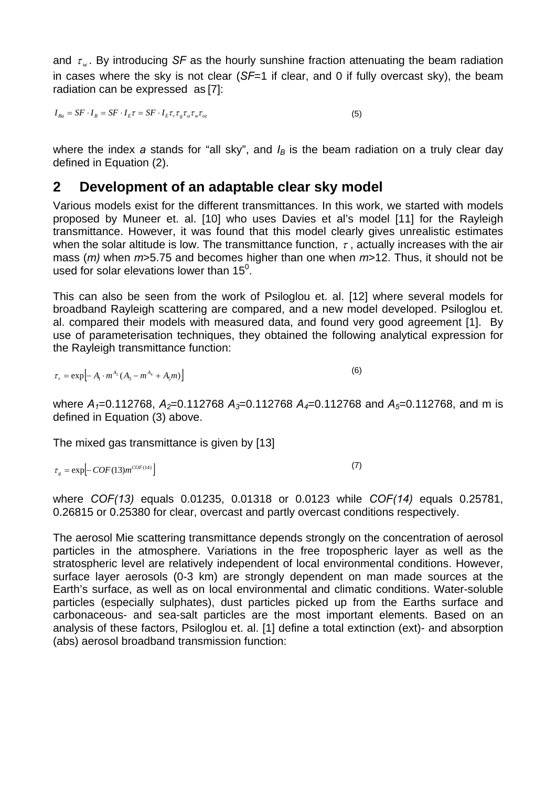and  $\tau_{w}$ . By introducing *SF* as the hourly sunshine fraction attenuating the beam radiation in cases where the sky is not clear (*SF*=1 if clear, and 0 if fully overcast sky), the beam radiation can be expressed as [\[7\]](#page-1-0):

<span id="page-2-0"></span> $I_{Ba} = SF \cdot I_B = SF \cdot I_E \tau = SF \cdot I_E \tau_r \tau_g \tau_\alpha \tau_w \tau_{oz}$  (5)

where the index  $a$  stands for "all sky", and  $I_B$  is the beam radiation on a truly clear day defined in Equation [\(2\).](#page-1-1)

#### **2 Development of an adaptable clear sky model**

Various models exist for the different transmittances. In this work, we started with models proposed by Muneer et. al. [[10\]](#page-10-9) who uses Davies et al's model [[11\]](#page-10-10) for the Rayleigh transmittance. However, it was found that this model clearly gives unrealistic estimates when the solar altitude is low. The transmittance function,  $\tau$ , actually increases with the air mass (*m)* when *m*>5.75 and becomes higher than one when *m*>12. Thus, it should not be used for solar elevations lower than  $15^0$ .

This can also be seen from the work of Psiloglou et. al. [[12\]](#page-10-11) where several models for broadband Rayleigh scattering are compared, and a new model developed. Psiloglou et. al. compared their models with measured data, and found very good agreement [[1\]](#page-0-0). By use of parameterisation techniques, they obtained the following analytical expression for the Rayleigh transmittance function:

<span id="page-2-2"></span> $\tau_{\perp} = \exp \left[ -A_1 \cdot m^{A_2} (A_2 - m^{A_4} + A_2 m) \right]$  (6)

where  $A_1 = 0.112768$ ,  $A_2 = 0.112768$   $A_3 = 0.112768$   $A_4 = 0.112768$  and  $A_5 = 0.112768$ , and m is defined in Equation [\(3\)](#page-1-2) above.

<span id="page-2-1"></span>The mixed gas transmittance is given by [[13\]](#page-10-12)

 $\tau_{\rho} = \exp[-COF(13)m^{COF(14)}]$  (7)

where *COF(13)* equals 0.01235, 0.01318 or 0.0123 while *COF(14)* equals 0.25781, 0.26815 or 0.25380 for clear, overcast and partly overcast conditions respectively.

The aerosol Mie scattering transmittance depends strongly on the concentration of aerosol particles in the atmosphere. Variations in the free tropospheric layer as well as the stratospheric level are relatively independent of local environmental conditions. However, surface layer aerosols (0-3 km) are strongly dependent on man made sources at the Earth's surface, as well as on local environmental and climatic conditions. Water-soluble particles (especially sulphates), dust particles picked up from the Earths surface and carbonaceous- and sea-salt particles are the most important elements. Based on an analysis of these factors, Psiloglou et. al. [\[1\]](#page-0-0) define a total extinction (ext)- and absorption (abs) aerosol broadband transmission function: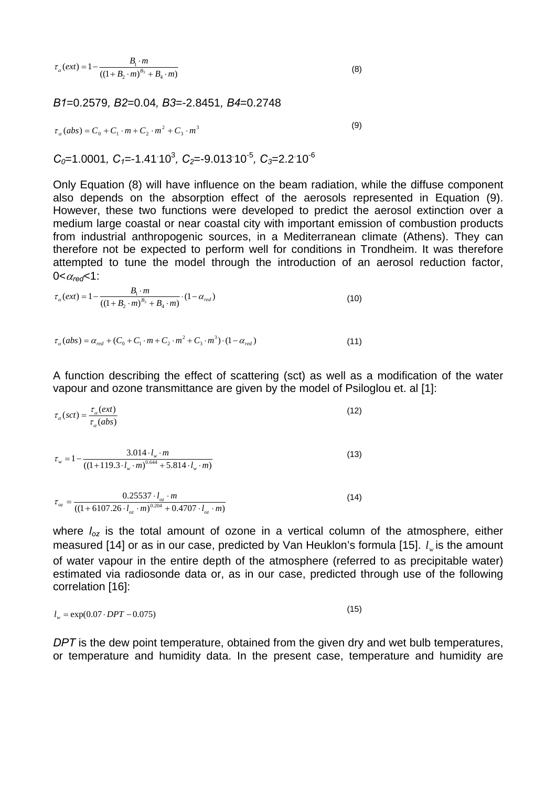<span id="page-3-0"></span>
$$
\tau_{\alpha}(ext) = 1 - \frac{B_1 \cdot m}{((1 + B_2 \cdot m)^{B_3} + B_4 \cdot m)}
$$
(8)

*B1*=0.2579*, B2*=0.04*, B3*=-2.8451*, B4*=0.2748

<span id="page-3-1"></span>
$$
\tau_a (abs) = C_0 + C_1 \cdot m + C_2 \cdot m^2 + C_3 \cdot m^3 \tag{9}
$$

 $C_0$ =1.0001,  $C_1$ =-1.41<sup>-10<sup>3</sup>,  $C_2$ =-9.013<sup>-10</sub>-5</sup>,  $C_3$ =2.2<sup>-10-6</sup></sup>

Only Equation [\(8\)](#page-3-0) will have influence on the beam radiation, while the diffuse component also depends on the absorption effect of the aerosols represented in Equation [\(9\).](#page-3-1) However, these two functions were developed to predict the aerosol extinction over a medium large coastal or near coastal city with important emission of combustion products from industrial anthropogenic sources, in a Mediterranean climate (Athens). They can therefore not be expected to perform well for conditions in Trondheim. It was therefore attempted to tune the model through the introduction of an aerosol reduction factor,  $0 < \alpha_{\text{rad}} < 1$ :

<span id="page-3-2"></span>
$$
\tau_{\alpha}(ext) = 1 - \frac{B_1 \cdot m}{\left(\left(1 + B_2 \cdot m\right)^{B_3} + B_4 \cdot m\right)} \cdot \left(1 - \alpha_{red}\right)
$$
\n(10)

$$
\tau_{\alpha}(abs) = \alpha_{red} + (C_0 + C_1 \cdot m + C_2 \cdot m^2 + C_3 \cdot m^3) \cdot (1 - \alpha_{red})
$$
\n
$$
(11)
$$

A function describing the effect of scattering (sct) as well as a modification of the water vapour and ozone transmittance are given by the model of Psiloglou et. al [\[1\]](#page-0-0):

$$
\tau_{\alpha}(sct) = \frac{\tau_{\alpha}(ext)}{\tau_{\alpha}(abs)}
$$
(12)  

$$
\tau_{w} = 1 - \frac{3.014 \cdot l_{w} \cdot m}{((1+119.3 \cdot l_{w} \cdot m)^{0.644} + 5.814 \cdot l_{w} \cdot m)}
$$
(13)

$$
\tau_{oz} = \frac{0.25537 \cdot l_{oz} \cdot m}{((1+6107.26 \cdot l_{oz} \cdot m)^{0.204} + 0.4707 \cdot l_{oz} \cdot m)}
$$
(14)

where  $I_{oz}$  is the total amount of ozone in a vertical column of the atmosphere, either measured [[14\]](#page-10-13) or as in our case, predicted by Van Heuklon's formula [[15\]](#page-10-14).  $\,l_{_{w}}$ is the amount of water vapour in the entire depth of the atmosphere (referred to as precipitable water) estimated via radiosonde data or, as in our case, predicted through use of the following correlation [ [16\]](#page-10-15):

$$
l_w = \exp(0.07 \cdot DPT - 0.075) \tag{15}
$$

*DPT* is the dew point temperature, obtained from the given dry and wet bulb temperatures, or temperature and humidity data. In the present case, temperature and humidity are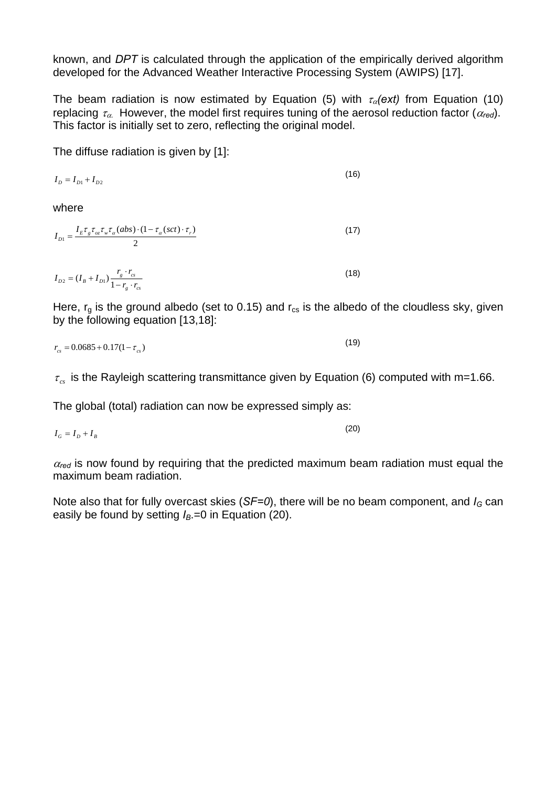known, and *DPT* is calculated through the application of the empirically derived algorithm developed for the Advanced Weather Interactive Processing System (AWIPS) [[17\].](#page-10-16)

The beam radiation is now estimated by Equation [\(5\)](#page-2-0) with  $\tau_a$ (ext) from Equation (10) replacing  $\tau_{\alpha}$ . However, the model first requires tuning of the aerosol reduction factor ( $\alpha_{\text{red}}$ ). This factor is initially set to zero, reflecting the original model.

The diffuse radiation is given by [\[1\]](#page-0-0):

<span id="page-4-1"></span> $g$   $c$ *s* 

$$
I_D = I_{D1} + I_{D2} \tag{16}
$$

where

$$
I_{D1} = \frac{I_E \tau_g \tau_{oz} \tau_w \tau_a (abs) \cdot (1 - \tau_a (sct) \cdot \tau_r)}{2}
$$
\n
$$
I_{D2} = (I_B + I_{D1}) \frac{r_g \cdot r_{cs}}{1 - r_o \cdot r_{cs}}
$$
\n(18)

Here,  $r_q$  is the ground albedo (set to 0.15) and  $r_{cs}$  is the albedo of the cloudless sky, given by the following equation [\[13,](#page-2-1)[18\]](#page-10-17):

$$
r_{cs} = 0.0685 + 0.17(1 - \tau_{cs})
$$
\n(19)

 $\tau_{\rm cs}$  is the Rayleigh scattering transmittance given by Equation [\(6\)](#page-2-2) computed with m=1.66.

The global (total) radiation can now be expressed simply as:

 $I_G = I_D + I_B$  (20)

 $\alpha_{\text{red}}$  is now found by requiring that the predicted maximum beam radiation must equal the maximum beam radiation.

Note also that for fully overcast skies (*SF=0*), there will be no beam component, and  $I_G$  can easily be found by setting  $I_B=0$  in Equation [\(20\).](#page-4-0)

<span id="page-4-0"></span>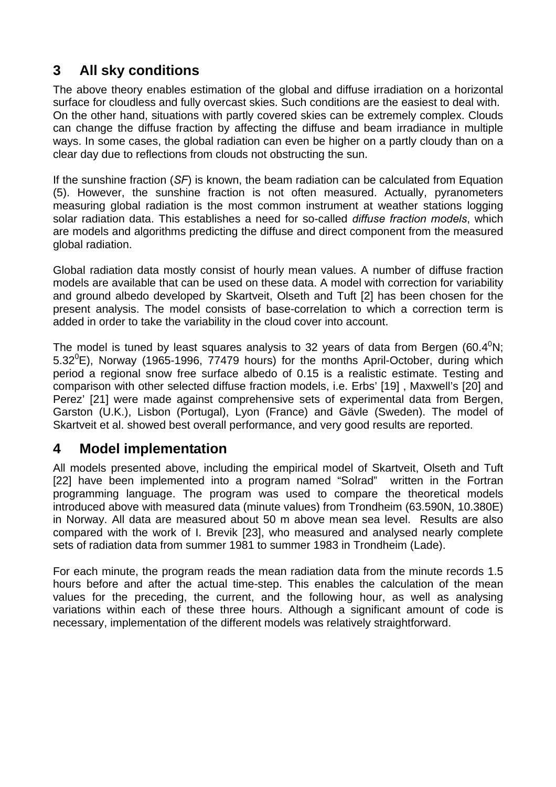## **3 All sky conditions**

The above theory enables estimation of the global and diffuse irradiation on a horizontal surface for cloudless and fully overcast skies. Such conditions are the easiest to deal with. On the other hand, situations with partly covered skies can be extremely complex. Clouds can change the diffuse fraction by affecting the diffuse and beam irradiance in multiple ways. In some cases, the global radiation can even be higher on a partly cloudy than on a clear day due to reflections from clouds not obstructing the sun.

If the sunshine fraction (*SF*) is known, the beam radiation can be calculated from Equation [\(5\).](#page-2-0) However, the sunshine fraction is not often measured. Actually, pyranometers measuring global radiation is the most common instrument at weather stations logging solar radiation data. This establishes a need for so-called *diffuse fraction models*, which are models and algorithms predicting the diffuse and direct component from the measured global radiation.

Global radiation data mostly consist of hourly mean values. A number of diffuse fraction models are available that can be used on these data. A model with correction for variability and ground albedo developed by Skartveit, Olseth and Tuft [\[2\]](#page-0-1) has been chosen for the present analysis. The model consists of base-correlation to which a correction term is added in order to take the variability in the cloud cover into account.

The model is tuned by least squares analysis to 32 years of data from Bergen (60.4 $^{0}$ N; 5.32 $^{\circ}$ E), Norway (1965-1996, 77479 hours) for the months April-October, during which period a regional snow free surface albedo of 0.15 is a realistic estimate. Testing and comparison with other selected diffuse fraction models, i.e. Erbs' [[19\]](#page-10-18) , Maxwell's [[20\]](#page-10-19) and Perez' [[21\]](#page-10-20) were made against comprehensive sets of experimental data from Bergen, Garston (U.K.), Lisbon (Portugal), Lyon (France) and Gävle (Sweden). The model of Skartveit et al. showed best overall performance, and very good results are reported.

#### **4 Model implementation**

All models presented above, including the empirical model of Skartveit, Olseth and Tuft [\[22\]](#page-10-21) have been implemented into a program named "Solrad" written in the Fortran programming language. The program was used to compare the theoretical models introduced above with measured data (minute values) from Trondheim (63.590N, 10.380E) in Norway. All data are measured about 50 m above mean sea level. Results are also compared with the work of I. Brevik [[23\]](#page-10-22), who measured and analysed nearly complete sets of radiation data from summer 1981 to summer 1983 in Trondheim (Lade).

<span id="page-5-0"></span>For each minute, the program reads the mean radiation data from the minute records 1.5 hours before and after the actual time-step. This enables the calculation of the mean values for the preceding, the current, and the following hour, as well as analysing variations within each of these three hours. Although a significant amount of code is necessary, implementation of the different models was relatively straightforward.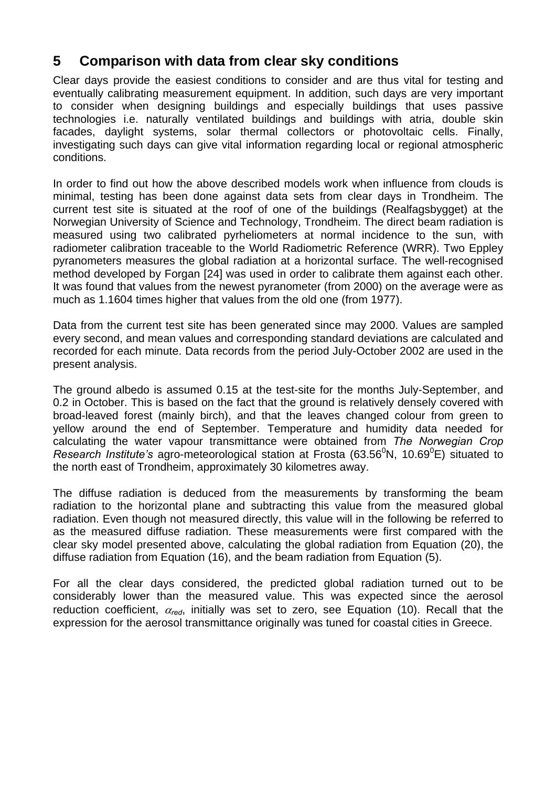### **5 Comparison with data from clear sky conditions**

Clear days provide the easiest conditions to consider and are thus vital for testing and eventually calibrating measurement equipment. In addition, such days are very important to consider when designing buildings and especially buildings that uses passive technologies i.e. naturally ventilated buildings and buildings with atria, double skin facades, daylight systems, solar thermal collectors or photovoltaic cells. Finally, investigating such days can give vital information regarding local or regional atmospheric conditions.

In order to find out how the above described models work when influence from clouds is minimal, testing has been done against data sets from clear days in Trondheim. The current test site is situated at the roof of one of the buildings (Realfagsbygget) at the Norwegian University of Science and Technology, Trondheim. The direct beam radiation is measured using two calibrated pyrheliometers at normal incidence to the sun, with radiometer calibration traceable to the World Radiometric Reference (WRR). Two Eppley pyranometers measures the global radiation at a horizontal surface. The well-recognised method developed by Forgan [[24\]](#page-10-23) was used in order to calibrate them against each other. It was found that values from the newest pyranometer (from 2000) on the average were as much as 1.1604 times higher that values from the old one (from 1977).

Data from the current test site has been generated since may 2000. Values are sampled every second, and mean values and corresponding standard deviations are calculated and recorded for each minute. Data records from the period July-October 2002 are used in the present analysis.

The ground albedo is assumed 0.15 at the test-site for the months July-September, and 0.2 in October. This is based on the fact that the ground is relatively densely covered with broad-leaved forest (mainly birch), and that the leaves changed colour from green to yellow around the end of September. Temperature and humidity data needed for calculating the water vapour transmittance were obtained from *The Norwegian Crop*  Research Institute's agro-meteorological station at Frosta (63.56<sup>0</sup>N, 10.69<sup>0</sup>E) situated to the north east of Trondheim, approximately 30 kilometres away.

The diffuse radiation is deduced from the measurements by transforming the beam radiation to the horizontal plane and subtracting this value from the measured global radiation. Even though not measured directly, this value will in the following be referred to as the measured diffuse radiation. These measurements were first compared with the clear sky model presented above, calculating the global radiation from Equation [\(20\),](#page-4-0) the diffuse radiation from Equation [\(16\),](#page-4-1) and the beam radiation from Equation [\(5\).](#page-2-0)

For all the clear days considered, the predicted global radiation turned out to be considerably lower than the measured value. This was expected since the aerosol reduction coefficient, <sup>α</sup>*red*, initially was set to zero, see Equation [\(10\).](#page-3-2) Recall that the expression for the aerosol transmittance originally was tuned for coastal cities in Greece.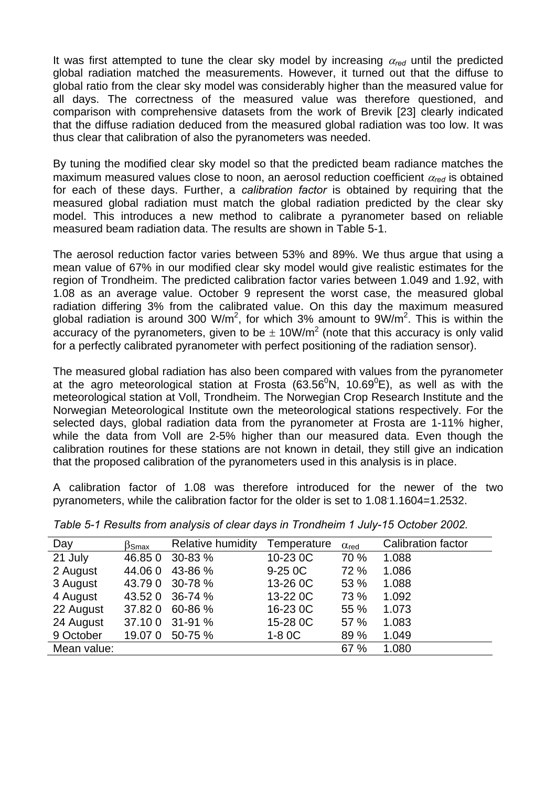It was first attempted to tune the clear sky model by increasing <sup>α</sup>*red* until the predicted global radiation matched the measurements. However, it turned out that the diffuse to global ratio from the clear sky model was considerably higher than the measured value for all days. The correctness of the measured value was therefore questioned, and comparison with comprehensive datasets from the work of Brevik [\[23\]](#page-5-0) clearly indicated that the diffuse radiation deduced from the measured global radiation was too low. It was thus clear that calibration of also the pyranometers was needed.

By tuning the modified clear sky model so that the predicted beam radiance matches the maximum measured values close to noon, an aerosol reduction coefficient <sup>α</sup>*red* is obtained for each of these days. Further, a *calibration factor* is obtained by requiring that the measured global radiation must match the global radiation predicted by the clear sky model. This introduces a new method to calibrate a pyranometer based on reliable measured beam radiation data. The results are shown in [Table 5-1.](#page-7-0)

The aerosol reduction factor varies between 53% and 89%. We thus argue that using a mean value of 67% in our modified clear sky model would give realistic estimates for the region of Trondheim. The predicted calibration factor varies between 1.049 and 1.92, with 1.08 as an average value. October 9 represent the worst case, the measured global radiation differing 3% from the calibrated value. On this day the maximum measured global radiation is around 300 W/m<sup>2</sup>, for which 3% amount to  $9W/m^2$ . This is within the accuracy of the pyranometers, given to be  $\pm$  10W/m<sup>2</sup> (note that this accuracy is only valid for a perfectly calibrated pyranometer with perfect positioning of the radiation sensor).

The measured global radiation has also been compared with values from the pyranometer at the agro meteorological station at Frosta (63.56 $^{0}$ N, 10.69 $^{0}$ E), as well as with the meteorological station at Voll, Trondheim. The Norwegian Crop Research Institute and the Norwegian Meteorological Institute own the meteorological stations respectively. For the selected days, global radiation data from the pyranometer at Frosta are 1-11% higher, while the data from Voll are 2-5% higher than our measured data. Even though the calibration routines for these stations are not known in detail, they still give an indication that the proposed calibration of the pyranometers used in this analysis is in place.

A calibration factor of 1.08 was therefore introduced for the newer of the two pyranometers, while the calibration factor for the older is set to 1.08. 1.1604=1.2532.

| Day         | $\beta$ Smax | Relative humidity | Temperature          | $\alpha_{\text{red}}$ | <b>Calibration factor</b> |
|-------------|--------------|-------------------|----------------------|-----------------------|---------------------------|
| 21 July     | 46.850       | 30-83 %           | 10-23 OC             | 70 %                  | 1.088                     |
| 2 August    | 44.060       | 43-86 %           | $9-250C$             | 72 %                  | 1.086                     |
| 3 August    | 43.790       | 30-78 %           | 13-26 OC             | 53 %                  | 1.088                     |
| 4 August    | 43.52 0      | 36-74 %           | 13-22 <sub>0</sub> C | 73 %                  | 1.092                     |
| 22 August   | 37.820       | $60 - 86 %$       | 16-23 OC             | 55 %                  | 1.073                     |
| 24 August   | 37.100       | $31 - 91%$        | 15-28 OC             | 57 %                  | 1.083                     |
| 9 October   | 19.070       | 50-75 %           | $1-8$ OC             | 89 %                  | 1.049                     |
| Mean value: |              |                   |                      | 67 %                  | 1.080                     |

<span id="page-7-0"></span>*Table 5-1 Results from analysis of clear days in Trondheim 1 July-15 October 2002.*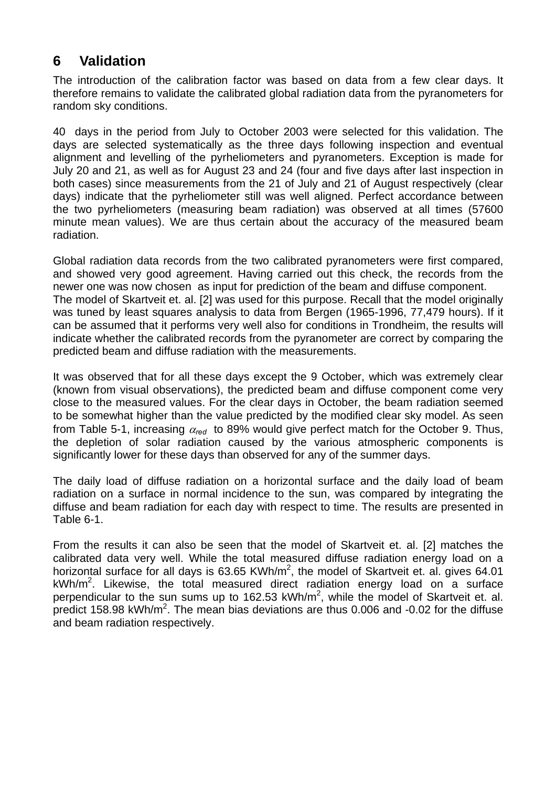### **6 Validation**

The introduction of the calibration factor was based on data from a few clear days. It therefore remains to validate the calibrated global radiation data from the pyranometers for random sky conditions.

40 days in the period from July to October 2003 were selected for this validation. The days are selected systematically as the three days following inspection and eventual alignment and levelling of the pyrheliometers and pyranometers. Exception is made for July 20 and 21, as well as for August 23 and 24 (four and five days after last inspection in both cases) since measurements from the 21 of July and 21 of August respectively (clear days) indicate that the pyrheliometer still was well aligned. Perfect accordance between the two pyrheliometers (measuring beam radiation) was observed at all times (57600 minute mean values). We are thus certain about the accuracy of the measured beam radiation.

Global radiation data records from the two calibrated pyranometers were first compared, and showed very good agreement. Having carried out this check, the records from the newer one was now chosen as input for prediction of the beam and diffuse component. The model of Skartveit et. al. [\[2\]](#page-0-2) was used for this purpose. Recall that the model originally was tuned by least squares analysis to data from Bergen (1965-1996, 77,479 hours). If it can be assumed that it performs very well also for conditions in Trondheim, the results will indicate whether the calibrated records from the pyranometer are correct by comparing the predicted beam and diffuse radiation with the measurements.

It was observed that for all these days except the 9 October, which was extremely clear (known from visual observations), the predicted beam and diffuse component come very close to the measured values. For the clear days in October, the beam radiation seemed to be somewhat higher than the value predicted by the modified clear sky model. As seen from [Table 5-1,](#page-7-0) increasing <sup>α</sup>*red* to 89% would give perfect match for the October 9. Thus, the depletion of solar radiation caused by the various atmospheric components is significantly lower for these days than observed for any of the summer days.

The daily load of diffuse radiation on a horizontal surface and the daily load of beam radiation on a surface in normal incidence to the sun, was compared by integrating the diffuse and beam radiation for each day with respect to time. The results are presented in [Table 6-1.](#page-9-0)

From the results it can also be seen that the model of Skartveit et. al. [\[2\]](#page-0-2) matches the calibrated data very well. While the total measured diffuse radiation energy load on a horizontal surface for all days is 63.65 KWh/m<sup>2</sup>, the model of Skartveit et. al. gives 64.01 kWh/m<sup>2</sup>. Likewise, the total measured direct radiation energy load on a surface perpendicular to the sun sums up to 162.53 kWh/m<sup>2</sup>, while the model of Skartveit et. al. predict 158.98 kWh/m<sup>2</sup>. The mean bias deviations are thus 0.006 and -0.02 for the diffuse and beam radiation respectively.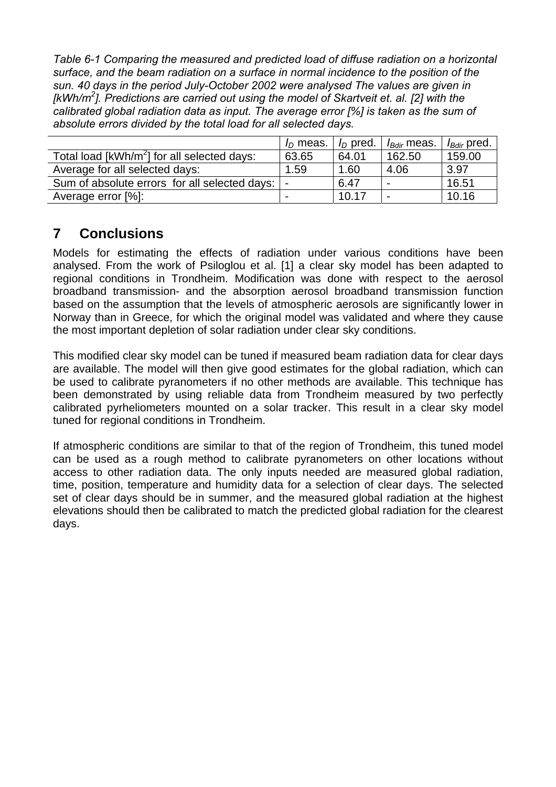<span id="page-9-0"></span>*Table 6-1 Comparing the measured and predicted load of diffuse radiation on a horizontal surface, and the beam radiation on a surface in normal incidence to the position of the sun. 40 days in the period July-October 2002 were analysed The values are given in [kWh/m2 ]. Predictions are carried out using the model of Skartveit et. al. [2] with the calibrated global radiation data [as](#page-0-2) input. The average error [%] is taken as the sum of absolute errors divided by the total load for all selected days.* 

|                                               | $I_D$ meas. | $I_D$ pred. | <i>I<sub>Bdir</sub></i> meas. | $I_{Bdir}$ pred. |
|-----------------------------------------------|-------------|-------------|-------------------------------|------------------|
| Total load $[kWh/m^2]$ for all selected days: | 63.65       | 64.01       | 162.50                        | 159.00           |
| Average for all selected days:                | 1.59        | 1.60        | 4.06                          | 3.97             |
| Sum of absolute errors for all selected days: |             | 6.47        | $\blacksquare$                | 16.51            |
| Average error [%]:                            |             | 10.17       | $\overline{\phantom{0}}$      | 10.16            |

## **7 Conclusions**

Models for estimating the effects of radiation under various conditions have been analysed. From the work of Psiloglou et al. [\[1\]](#page-0-0) a clear sky model has been adapted to regional conditions in Trondheim. Modification was done with respect to the aerosol broadband transmission- and the absorption aerosol broadband transmission function based on the assumption that the levels of atmospheric aerosols are significantly lower in Norway than in Greece, for which the original model was validated and where they cause the most important depletion of solar radiation under clear sky conditions.

This modified clear sky model can be tuned if measured beam radiation data for clear days are available. The model will then give good estimates for the global radiation, which can be used to calibrate pyranometers if no other methods are available. This technique has been demonstrated by using reliable data from Trondheim measured by two perfectly calibrated pyrheliometers mounted on a solar tracker. This result in a clear sky model tuned for regional conditions in Trondheim.

If atmospheric conditions are similar to that of the region of Trondheim, this tuned model can be used as a rough method to calibrate pyranometers on other locations without access to other radiation data. The only inputs needed are measured global radiation, time, position, temperature and humidity data for a selection of clear days. The selected set of clear days should be in summer, and the measured global radiation at the highest elevations should then be calibrated to match the predicted global radiation for the clearest days.